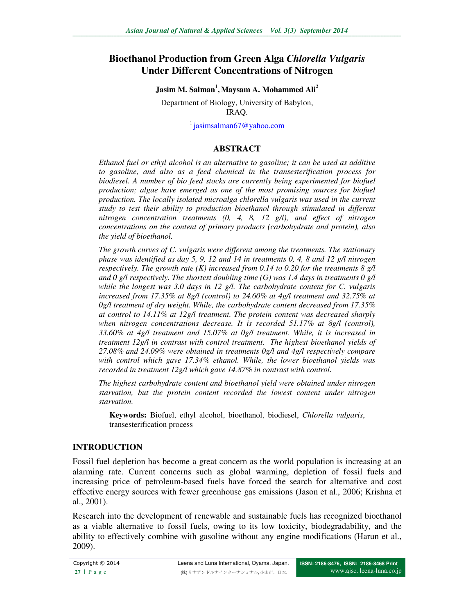# **Bioethanol Production from Green Alga** *Chlorella Vulgaris* **Under Different Concentrations of Nitrogen**

**Jasim M. Salman<sup>1</sup> , Maysam A. Mohammed Ali<sup>2</sup>**

Department of Biology, University of Babylon, IRAQ.

 $\frac{1}{1}$ jasimsalman67@yahoo.com

#### **ABSTRACT**

*Ethanol fuel or ethyl alcohol is an alternative to gasoline; it can be used as additive to gasoline, and also as a feed chemical in the transesterification process for biodiesel. A number of bio feed stocks are currently being experimented for biofuel production; algae have emerged as one of the most promising sources for biofuel production. The locally isolated microalga chlorella vulgaris was used in the current study to test their ability to production bioethanol through stimulated in different nitrogen concentration treatments (0, 4, 8, 12 g/l), and effect of nitrogen concentrations on the content of primary products (carbohydrate and protein), also the yield of bioethanol.* 

*The growth curves of C. vulgaris were different among the treatments. The stationary phase was identified as day 5, 9, 12 and 14 in treatments 0, 4, 8 and 12 g/l nitrogen respectively. The growth rate (K) increased from 0.14 to 0.20 for the treatments 8 g/l and 0 g/l respectively. The shortest doubling time (G) was 1.4 days in treatments 0 g/l while the longest was 3.0 days in 12 g/l. The carbohydrate content for C. vulgaris increased from 17.35% at 8g/l (control) to 24.60% at 4g/l treatment and 32.75% at 0g/l treatment of dry weight. While, the carbohydrate content decreased from 17.35% at control to 14.11% at 12g/l treatment. The protein content was decreased sharply when nitrogen concentrations decrease. It is recorded 51.17% at 8g/l (control), 33.60% at 4g/l treatment and 15.07% at 0g/l treatment. While, it is increased in treatment 12g/l in contrast with control treatment. The highest bioethanol yields of 27.08% and 24.09% were obtained in treatments 0g/l and 4g/l respectively compare with control which gave 17.34% ethanol. While, the lower bioethanol yields was recorded in treatment 12g/l which gave 14.87% in contrast with control.* 

*The highest carbohydrate content and bioethanol yield were obtained under nitrogen starvation, but the protein content recorded the lowest content under nitrogen starvation.* 

**Keywords:** Biofuel, ethyl alcohol, bioethanol, biodiesel, *Chlorella vulgaris*, transesterification process

#### **INTRODUCTION**

Fossil fuel depletion has become a great concern as the world population is increasing at an alarming rate. Current concerns such as global warming, depletion of fossil fuels and increasing price of petroleum-based fuels have forced the search for alternative and cost effective energy sources with fewer greenhouse gas emissions (Jason et al., 2006; Krishna et al., 2001).

Research into the development of renewable and sustainable fuels has recognized bioethanol as a viable alternative to fossil fuels, owing to its low toxicity, biodegradability, and the ability to effectively combine with gasoline without any engine modifications (Harun et al., 2009).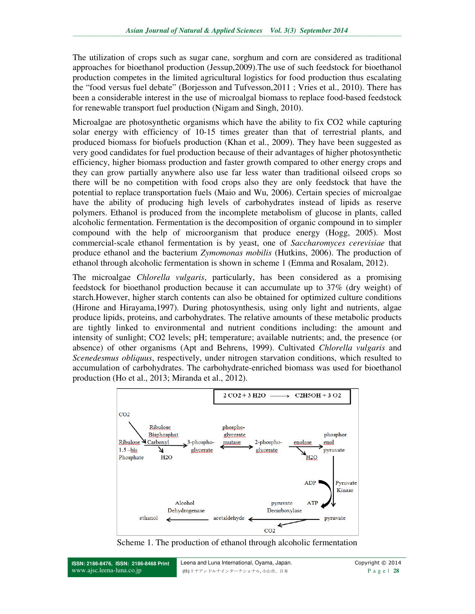The utilization of crops such as sugar cane, sorghum and corn are considered as traditional approaches for bioethanol production (Jessup,2009).The use of such feedstock for bioethanol production competes in the limited agricultural logistics for food production thus escalating the "food versus fuel debate" (Borjesson and Tufvesson,2011 ; Vries et al., 2010). There has been a considerable interest in the use of microalgal biomass to replace food-based feedstock for renewable transport fuel production (Nigam and Singh, 2010).

Microalgae are photosynthetic organisms which have the ability to fix CO2 while capturing solar energy with efficiency of 10-15 times greater than that of terrestrial plants, and produced biomass for biofuels production (Khan et al., 2009). They have been suggested as very good candidates for fuel production because of their advantages of higher photosynthetic efficiency, higher biomass production and faster growth compared to other energy crops and they can grow partially anywhere also use far less water than traditional oilseed crops so there will be no competition with food crops also they are only feedstock that have the potential to replace transportation fuels (Maio and Wu, 2006). Certain species of microalgae have the ability of producing high levels of carbohydrates instead of lipids as reserve polymers. Ethanol is produced from the incomplete metabolism of glucose in plants, called alcoholic fermentation. Fermentation is the decomposition of organic compound in to simpler compound with the help of microorganism that produce energy (Hogg, 2005). Most commercial-scale ethanol fermentation is by yeast, one of *Saccharomyces cerevisiae* that produce ethanol and the bacterium *Zymomonas mobilis* (Hutkins, 2006). The production of ethanol through alcoholic fermentation is shown in scheme 1 (Emma and Rosalam, 2012).

The microalgae *Chlorella vulgaris*, particularly, has been considered as a promising feedstock for bioethanol production because it can accumulate up to 37% (dry weight) of starch.However, higher starch contents can also be obtained for optimized culture conditions (Hirone and Hirayama,1997). During photosynthesis, using only light and nutrients, algae produce lipids, proteins, and carbohydrates. The relative amounts of these metabolic products are tightly linked to environmental and nutrient conditions including: the amount and intensity of sunlight; CO2 levels; pH; temperature; available nutrients; and, the presence (or absence) of other organisms (Apt and Behrens, 1999). Cultivated *Chlorella vulgaris* and *Scenedesmus obliquus*, respectively, under nitrogen starvation conditions, which resulted to accumulation of carbohydrates. The carbohydrate-enriched biomass was used for bioethanol production (Ho et al., 2013; Miranda et al., 2012).



Scheme 1. The production of ethanol through alcoholic fermentation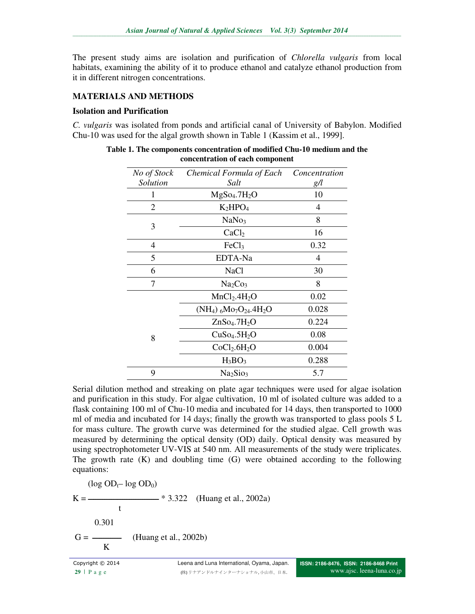The present study aims are isolation and purification of *Chlorella vulgaris* from local habitats, examining the ability of it to produce ethanol and catalyze ethanol production from it in different nitrogen concentrations.

## **MATERIALS AND METHODS**

#### **Isolation and Purification**

*C. vulgaris* was isolated from ponds and artificial canal of University of Babylon. Modified Chu-10 was used for the algal growth shown in Table 1 (Kassim et al., 1999].

| No of Stock    | Chemical Formula of Each             | Concentration  |
|----------------|--------------------------------------|----------------|
| Solution       | Salt                                 | g/l            |
|                | MgSo <sub>4</sub> .7H <sub>2</sub> O | 10             |
| $\overline{2}$ | $K_2HPO_4$                           | 4              |
| 3              | NaNo <sub>3</sub>                    | 8              |
|                | CaCl <sub>2</sub>                    | 16             |
| 4              | FeCl <sub>3</sub>                    | 0.32           |
| 5              | EDTA-Na                              | $\overline{4}$ |
| 6              | NaCl                                 | 30             |
| 7              | Na <sub>2</sub> Co <sub>3</sub>      | 8              |
|                | MnCl <sub>2</sub> .4H <sub>2</sub> O | 0.02           |
|                | $(NH_4)$ 6Mo7O24.4H <sub>2</sub> O   | 0.028          |
| 8              | ZnSo <sub>4</sub> .7H <sub>2</sub> O | 0.224          |
|                | CuSo <sub>4</sub> .5H <sub>2</sub> O | 0.08           |
|                | CoCl <sub>2</sub> .6H <sub>2</sub> O | 0.004          |
|                | $H_3BO_3$                            | 0.288          |
| 9              | Na <sub>2</sub> Sio <sub>3</sub>     | 5.7            |

**Table 1. The components concentration of modified Chu-10 medium and the concentration of each component** 

Serial dilution method and streaking on plate agar techniques were used for algae isolation and purification in this study. For algae cultivation, 10 ml of isolated culture was added to a flask containing 100 ml of Chu-10 media and incubated for 14 days, then transported to 1000 ml of media and incubated for 14 days; finally the growth was transported to glass pools 5 L for mass culture. The growth curve was determined for the studied algae. Cell growth was measured by determining the optical density (OD) daily. Optical density was measured by using spectrophotometer UV-VIS at 540 nm. All measurements of the study were triplicates. The growth rate (K) and doubling time (G) were obtained according to the following equations:

 $(log OD<sub>t</sub> - log OD<sub>0</sub>)$ K = ـــــــــــــــــــــــــــــــــــــــ \* 3.322) Huang et al., 2002a) t and the state of the state of the state of the state of the state of the state of the state of the state of the state of the state of the state of the state of the state of the state of the state of the state of the stat 0.301 G = ــــــــــــــــ) Huang et al., 2002b) K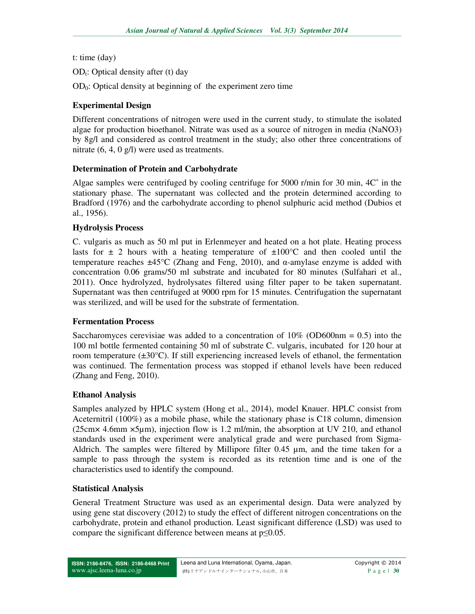t: time (day)

 $OD<sub>t</sub>: Optical density after (t) day$ 

 $OD<sub>0</sub>$ : Optical density at beginning of the experiment zero time

## **Experimental Design**

Different concentrations of nitrogen were used in the current study, to stimulate the isolated algae for production bioethanol. Nitrate was used as a source of nitrogen in media (NaNO3) by 8g/l and considered as control treatment in the study; also other three concentrations of nitrate (6, 4, 0 g/l) were used as treatments.

## **Determination of Protein and Carbohydrate**

Algae samples were centrifuged by cooling centrifuge for 5000 r/min for 30 min, 4C˚ in the stationary phase. The supernatant was collected and the protein determined according to Bradford (1976) and the carbohydrate according to phenol sulphuric acid method (Dubios et al., 1956).

## **Hydrolysis Process**

C. vulgaris as much as 50 ml put in Erlenmeyer and heated on a hot plate. Heating process lasts for  $\pm$  2 hours with a heating temperature of  $\pm 100^{\circ}$ C and then cooled until the temperature reaches  $\pm 45^{\circ}$ C (Zhang and Feng, 2010), and  $\alpha$ -amylase enzyme is added with concentration 0.06 grams/50 ml substrate and incubated for 80 minutes (Sulfahari et al., 2011). Once hydrolyzed, hydrolysates filtered using filter paper to be taken supernatant. Supernatant was then centrifuged at 9000 rpm for 15 minutes. Centrifugation the supernatant was sterilized, and will be used for the substrate of fermentation.

## **Fermentation Process**

Saccharomyces cerevisiae was added to a concentration of  $10\%$  (OD600nm = 0.5) into the 100 ml bottle fermented containing 50 ml of substrate C. vulgaris, incubated for 120 hour at room temperature  $(\pm 30^{\circ}C)$ . If still experiencing increased levels of ethanol, the fermentation was continued. The fermentation process was stopped if ethanol levels have been reduced (Zhang and Feng, 2010).

## **Ethanol Analysis**

Samples analyzed by HPLC system (Hong et al., 2014), model Knauer. HPLC consist from Aceternitril (100%) as a mobile phase, while the stationary phase is C18 column, dimension (25cm× 4.6mm ×5µm), injection flow is 1.2 ml/min, the absorption at UV 210, and ethanol standards used in the experiment were analytical grade and were purchased from Sigma-Aldrich. The samples were filtered by Millipore filter 0.45 µm, and the time taken for a sample to pass through the system is recorded as its retention time and is one of the characteristics used to identify the compound.

# **Statistical Analysis**

General Treatment Structure was used as an experimental design. Data were analyzed by using gene stat discovery (2012) to study the effect of different nitrogen concentrations on the carbohydrate, protein and ethanol production. Least significant difference (LSD) was used to compare the significant difference between means at p≤0.05.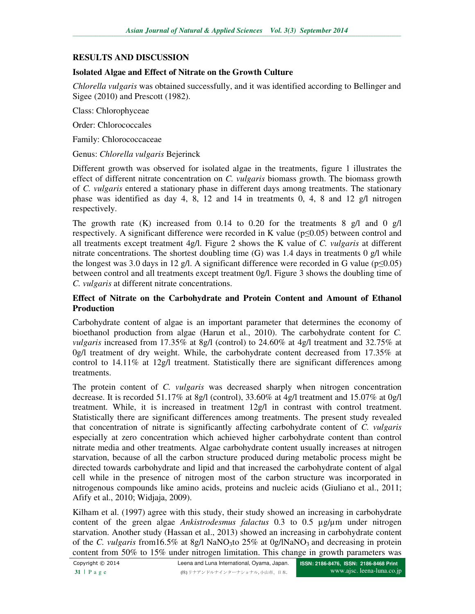## **RESULTS AND DISCUSSION**

### **Isolated Algae and Effect of Nitrate on the Growth Culture**

*Chlorella vulgaris* was obtained successfully, and it was identified according to Bellinger and Sigee (2010) and Prescott (1982).

Class: Chlorophyceae

Order: Chlorococcales

Family: Chlorococcaceae

#### Genus: *Chlorella vulgaris* Bejerinck

Different growth was observed for isolated algae in the treatments, figure 1 illustrates the effect of different nitrate concentration on *C. vulgaris* biomass growth. The biomass growth of *C. vulgaris* entered a stationary phase in different days among treatments. The stationary phase was identified as day 4, 8, 12 and 14 in treatments 0, 4, 8 and 12 g/l nitrogen respectively.

The growth rate (K) increased from 0.14 to 0.20 for the treatments 8 g/l and 0 g/l respectively. A significant difference were recorded in K value ( $p \le 0.05$ ) between control and all treatments except treatment 4g/l. Figure 2 shows the K value of *C. vulgaris* at different nitrate concentrations. The shortest doubling time  $(G)$  was 1.4 days in treatments 0 g/l while the longest was 3.0 days in 12 g/l. A significant difference were recorded in G value ( $p \le 0.05$ ) between control and all treatments except treatment 0g/l. Figure 3 shows the doubling time of *C. vulgaris* at different nitrate concentrations.

#### **Effect of Nitrate on the Carbohydrate and Protein Content and Amount of Ethanol Production**

Carbohydrate content of algae is an important parameter that determines the economy of bioethanol production from algae (Harun et al., 2010). The carbohydrate content for *C. vulgaris* increased from 17.35% at 8g/l (control) to 24.60% at 4g/l treatment and 32.75% at 0g/l treatment of dry weight. While, the carbohydrate content decreased from 17.35% at control to 14.11% at 12g/l treatment. Statistically there are significant differences among treatments.

The protein content of *C. vulgaris* was decreased sharply when nitrogen concentration decrease. It is recorded 51.17% at 8g/l (control), 33.60% at 4g/l treatment and 15.07% at 0g/l treatment. While, it is increased in treatment 12g/l in contrast with control treatment. Statistically there are significant differences among treatments. The present study revealed that concentration of nitrate is significantly affecting carbohydrate content of *C. vulgaris*  especially at zero concentration which achieved higher carbohydrate content than control nitrate media and other treatments. Algae carbohydrate content usually increases at nitrogen starvation, because of all the carbon structure produced during metabolic process might be directed towards carbohydrate and lipid and that increased the carbohydrate content of algal cell while in the presence of nitrogen most of the carbon structure was incorporated in nitrogenous compounds like amino acids, proteins and nucleic acids (Giuliano et al., 2011; Afify et al., 2010; Widjaja, 2009).

Kilham et al. (1997) agree with this study, their study showed an increasing in carbohydrate content of the green algae *Ankistrodesmus falactus* 0.3 to 0.5 µg/µm under nitrogen starvation. Another study (Hassan et al., 2013) showed an increasing in carbohydrate content of the *C. vulgaris* from 16.5% at 8g/l NaNO<sub>3</sub>to 25% at 0g/lNaNO<sub>3</sub> and decreasing in protein content from 50% to 15% under nitrogen limitation. This change in growth parameters was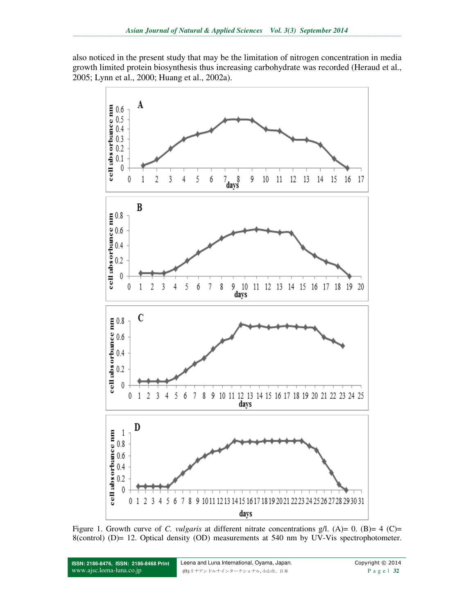also noticed in the present study that may be the limitation of nitrogen concentration in media growth limited protein biosynthesis thus increasing carbohydrate was recorded (Heraud et al., 2005; Lynn et al., 2000; Huang et al., 2002a).



Figure 1. Growth curve of *C. vulgaris* at different nitrate concentrations g/l. (A)= 0. (B)= 4 (C)= 8(control) (D)= 12. Optical density (OD) measurements at 540 nm by UV-Vis spectrophotometer.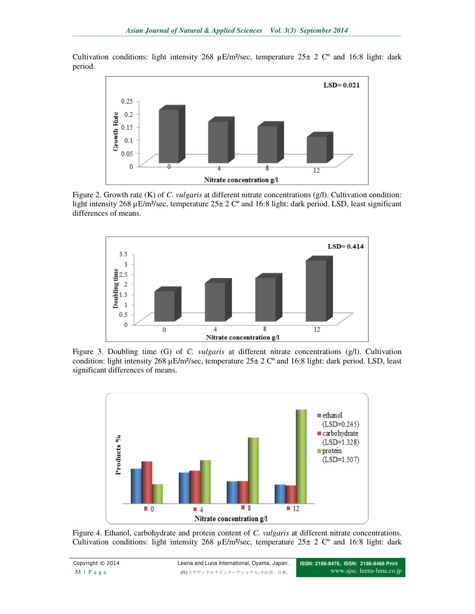Cultivation conditions: light intensity 268  $\mu$ E/m<sup>2</sup>/sec, temperature 25 $\pm$  2 C° and 16:8 light: dark period.



Figure 2. Growth rate (K) of *C. vulgaris* at different nitrate concentrations (g/l). Cultivation condition: light intensity 268 µE/m²/sec, temperature 25± 2 Cº and 16:8 light: dark period. LSD, least significant differences of means.



Figure 3. Doubling time (G) of *C. vulgaris* at different nitrate concentrations (g/l). Cultivation condition: light intensity 268  $\mu$ E/m<sup>2</sup>/sec, temperature 25 $\pm$  2 C° and 16:8 light: dark period. LSD, least significant differences of means.



Figure 4. Ethanol, carbohydrate and protein content of *C. vulgaris* at different nitrate concentrations. Cultivation conditions: light intensity 268  $\mu$ E/m<sup>2</sup>/sec, temperature 25 $\pm$  2 C° and 16:8 light: dark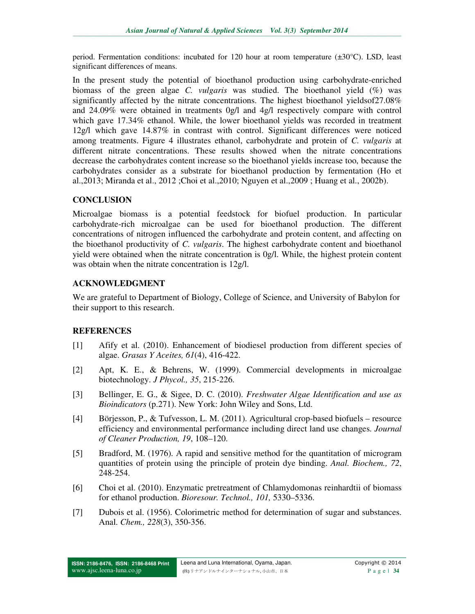period. Fermentation conditions: incubated for 120 hour at room temperature  $(\pm 30^{\circ}C)$ . LSD, least significant differences of means.

In the present study the potential of bioethanol production using carbohydrate-enriched biomass of the green algae *C. vulgaris* was studied. The bioethanol yield (%) was significantly affected by the nitrate concentrations. The highest bioethanol yieldsof27.08% and 24.09% were obtained in treatments 0g/l and 4g/l respectively compare with control which gave 17.34% ethanol. While, the lower bioethanol yields was recorded in treatment 12g/l which gave 14.87% in contrast with control. Significant differences were noticed among treatments. Figure 4 illustrates ethanol, carbohydrate and protein of *C. vulgaris* at different nitrate concentrations. These results showed when the nitrate concentrations decrease the carbohydrates content increase so the bioethanol yields increase too, because the carbohydrates consider as a substrate for bioethanol production by fermentation (Ho et al.,2013; Miranda et al., 2012 ;Choi et al.,2010; Nguyen et al.,2009 ; Huang et al., 2002b).

## **CONCLUSION**

Microalgae biomass is a potential feedstock for biofuel production. In particular carbohydrate-rich microalgae can be used for bioethanol production. The different concentrations of nitrogen influenced the carbohydrate and protein content, and affecting on the bioethanol productivity of *C. vulgaris*. The highest carbohydrate content and bioethanol yield were obtained when the nitrate concentration is 0g/l. While, the highest protein content was obtain when the nitrate concentration is 12g/l.

## **ACKNOWLEDGMENT**

We are grateful to Department of Biology, College of Science, and University of Babylon for their support to this research.

# **REFERENCES**

- [1] Afify et al. (2010). Enhancement of biodiesel production from different species of algae. *Grasas Y Aceites, 61*(4), 416-422.
- [2] Apt, K. E., & Behrens, W. (1999). Commercial developments in microalgae biotechnology. *J Phycol., 35*, 215-226.
- [3] Bellinger, E. G., & Sigee, D. C. (2010). *Freshwater Algae Identification and use as Bioindicators* (p.271). New York: John Wiley and Sons, Ltd.
- [4] Börjesson, P., & Tufvesson, L. M. (2011). Agricultural crop-based biofuels resource efficiency and environmental performance including direct land use changes. *Journal of Cleaner Production, 19*, 108–120.
- [5] Bradford, M. (1976). A rapid and sensitive method for the quantitation of microgram quantities of protein using the principle of protein dye binding. *Anal. Biochem., 72*, 248-254.
- [6] Choi et al. (2010). Enzymatic pretreatment of Chlamydomonas reinhardtii of biomass for ethanol production. *Bioresour. Technol., 101,* 5330–5336.
- [7] Dubois et al. (1956). Colorimetric method for determination of sugar and substances. Anal. *Chem., 228*(3), 350-356.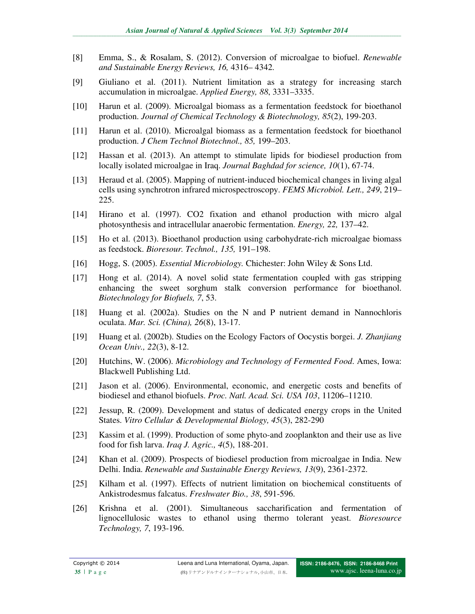- [8] Emma, S., & Rosalam, S. (2012). Conversion of microalgae to biofuel. *Renewable and Sustainable Energy Reviews, 16,* 4316– 4342.
- [9] Giuliano et al. (2011). Nutrient limitation as a strategy for increasing starch accumulation in microalgae. *Applied Energy, 88*, 3331–3335.
- [10] Harun et al. (2009). Microalgal biomass as a fermentation feedstock for bioethanol production. *Journal of Chemical Technology & Biotechnology, 85*(2), 199-203.
- [11] Harun et al. (2010). Microalgal biomass as a fermentation feedstock for bioethanol production. *J Chem Technol Biotechnol., 85,* 199–203.
- [12] Hassan et al. (2013). An attempt to stimulate lipids for biodiesel production from locally isolated microalgae in Iraq. *Journal Baghdad for science, 10*(1), 67-74.
- [13] Heraud et al. (2005). Mapping of nutrient-induced biochemical changes in living algal cells using synchrotron infrared microspectroscopy. *FEMS Microbiol. Lett., 249*, 219– 225.
- [14] Hirano et al. (1997). CO2 fixation and ethanol production with micro algal photosynthesis and intracellular anaerobic fermentation. *Energy, 22,* 137–42.
- [15] Ho et al. (2013). Bioethanol production using carbohydrate-rich microalgae biomass as feedstock. *Bioresour. Technol., 135,* 191–198.
- [16] Hogg, S. (2005). *Essential Microbiology.* Chichester: John Wiley & Sons Ltd.
- [17] Hong et al. (2014). A novel solid state fermentation coupled with gas stripping enhancing the sweet sorghum stalk conversion performance for bioethanol. *Biotechnology for Biofuels, 7*, 53.
- [18] Huang et al. (2002a). Studies on the N and P nutrient demand in Nannochloris oculata. *Mar. Sci. (China), 26*(8), 13-17.
- [19] Huang et al. (2002b). Studies on the Ecology Factors of Oocystis borgei. *J. Zhanjiang Ocean Univ., 22*(3), 8-12.
- [20] Hutchins, W. (2006). *Microbiology and Technology of Fermented Food*. Ames, Iowa: Blackwell Publishing Ltd.
- [21] Jason et al. (2006). Environmental, economic, and energetic costs and benefits of biodiesel and ethanol biofuels. *Proc. Natl. Acad. Sci. USA 103*, 11206–11210.
- [22] Jessup, R. (2009). Development and status of dedicated energy crops in the United States. *Vitro Cellular & Developmental Biology, 45*(3), 282-290
- [23] Kassim et al. (1999). Production of some phyto-and zooplankton and their use as live food for fish larva. *Iraq J. Agric., 4*(5), 188-201.
- [24] Khan et al. (2009). Prospects of biodiesel production from microalgae in India. New Delhi. India. *Renewable and Sustainable Energy Reviews, 13*(9), 2361-2372.
- [25] Kilham et al. (1997). Effects of nutrient limitation on biochemical constituents of Ankistrodesmus falcatus. *Freshwater Bio., 38*, 591-596.
- [26] Krishna et al. (2001). Simultaneous saccharification and fermentation of lignocellulosic wastes to ethanol using thermo tolerant yeast. *Bioresource Technology, 7*, 193-196.